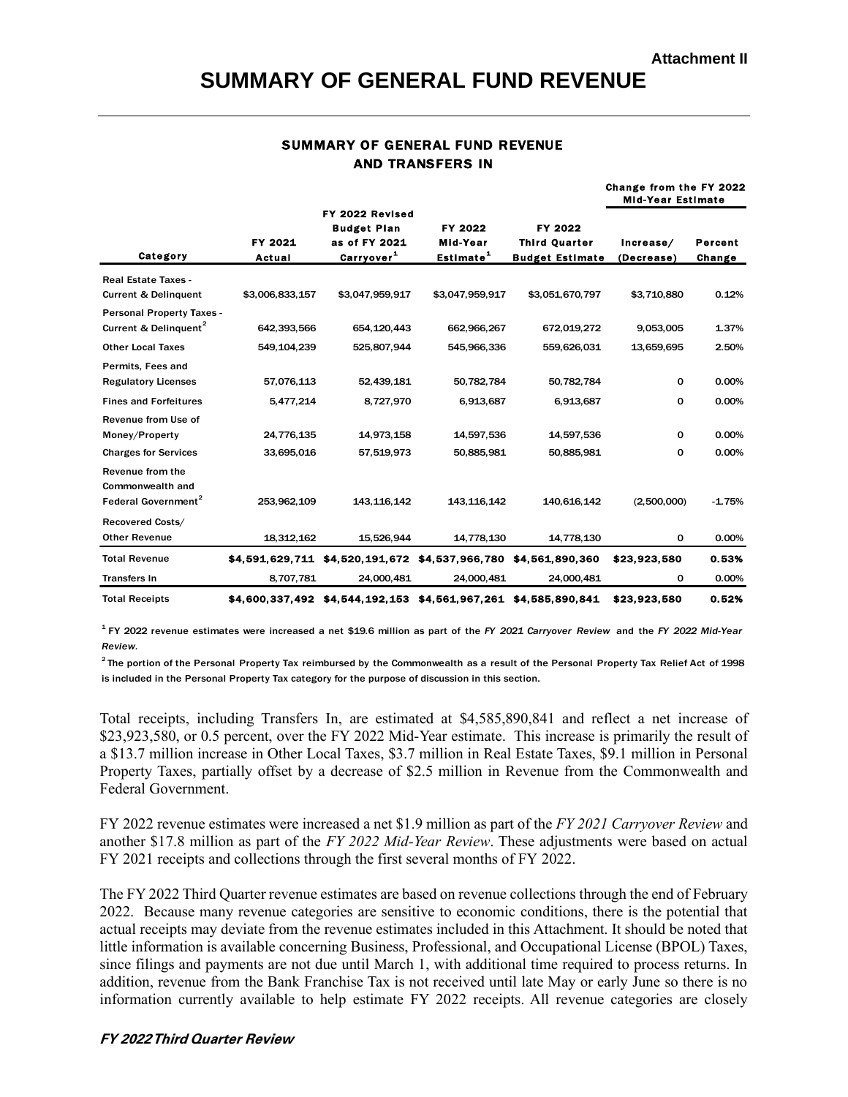### **SUMMARY OF GENERAL FUND REVENUE**

# SUMMARY OF GENERAL FUND REVENUE

| <b>SUMMARY OF GENERAL FUND REVENUE</b><br><b>AND TRANSFERS IN</b>                                                                                    |                   |                                                                                  |                                                                 |                                                           |                                                     |                   |  |
|------------------------------------------------------------------------------------------------------------------------------------------------------|-------------------|----------------------------------------------------------------------------------|-----------------------------------------------------------------|-----------------------------------------------------------|-----------------------------------------------------|-------------------|--|
|                                                                                                                                                      |                   |                                                                                  |                                                                 |                                                           | Change from the FY 2022<br><b>Mid-Year Estimate</b> |                   |  |
| Category                                                                                                                                             | FY 2021<br>Actual | FY 2022 Revised<br><b>Budget Plan</b><br>as of FY 2021<br>Carryover <sup>1</sup> | FY 2022<br>Mid-Year<br>Estimate <sup>1</sup>                    | FY 2022<br><b>Third Quarter</b><br><b>Budget Estimate</b> | Increase/<br>(Decrease)                             | Percent<br>Change |  |
| <b>Real Estate Taxes -</b><br><b>Current &amp; Delinquent</b>                                                                                        | \$3,006,833,157   | \$3,047,959,917                                                                  | \$3,047,959,917                                                 | \$3,051,670,797                                           | \$3,710,880                                         | 0.12%             |  |
| <b>Personal Property Taxes -</b><br>Current & Delinguent <sup>2</sup>                                                                                | 642,393,566       | 654,120,443                                                                      | 662,966,267                                                     | 672,019,272                                               | 9,053,005                                           | 1.37%             |  |
| <b>Other Local Taxes</b>                                                                                                                             | 549,104,239       | 525,807,944                                                                      | 545,966,336                                                     | 559,626,031                                               | 13,659,695                                          | 2.50%             |  |
| Permits, Fees and<br><b>Regulatory Licenses</b>                                                                                                      | 57,076,113        | 52,439,181                                                                       | 50,782,784                                                      | 50,782,784                                                | 0                                                   | 0.00%             |  |
| <b>Fines and Forfeitures</b>                                                                                                                         | 5,477,214         | 8,727,970                                                                        | 6,913,687                                                       | 6,913,687                                                 | 0                                                   | 0.00%             |  |
| Revenue from Use of<br>Money/Property                                                                                                                | 24,776,135        | 14,973,158                                                                       | 14,597,536                                                      | 14,597,536                                                | 0                                                   | 0.00%             |  |
| <b>Charges for Services</b>                                                                                                                          | 33,695,016        | 57,519,973                                                                       | 50,885,981                                                      | 50,885,981                                                | 0                                                   | 0.00%             |  |
| Revenue from the<br>Commonwealth and<br>Federal Government <sup>2</sup>                                                                              | 253,962,109       | 143, 116, 142                                                                    | 143, 116, 142                                                   | 140,616,142                                               | (2,500,000)                                         | $-1.75%$          |  |
| Recovered Costs/<br><b>Other Revenue</b>                                                                                                             | 18,312,162        | 15,526,944                                                                       | 14,778,130                                                      | 14,778,130                                                | 0                                                   | 0.00%             |  |
| <b>Total Revenue</b>                                                                                                                                 |                   |                                                                                  | \$4,591,629,711 \$4,520,191,672 \$4,537,966,780 \$4,561,890,360 |                                                           | \$23,923,580                                        | 0.53%             |  |
| <b>Transfers In</b>                                                                                                                                  | 8,707,781         | 24,000,481                                                                       | 24,000,481                                                      | 24,000,481                                                | 0                                                   | 0.00%             |  |
| <b>Total Receipts</b>                                                                                                                                |                   |                                                                                  | \$4,600,337,492 \$4,544,192,153 \$4,561,967,261 \$4,585,890,841 |                                                           | \$23,923,580                                        | 0.52%             |  |
| $1$ FY 2022 revenue estimates were increased a net \$19.6 million as part of the FY 2021 Carryover Review and the FY 2022 Mid-Year<br><b>Doviour</b> |                   |                                                                                  |                                                                 |                                                           |                                                     |                   |  |

1 *Review.*

 $^2$ The portion of the Personal Property Tax reimbursed by the Commonwealth as a result of the Personal Property Tax Relief Act of 1998 is included in the Personal Property Tax category for the purpose of discussion in this section.

Total receipts, including Transfers In, are estimated at \$4,585,890,841 and reflect a net increase of \$23,923,580, or 0.5 percent, over the FY 2022 Mid-Year estimate. This increase is primarily the result of a \$13.7 million increase in Other Local Taxes, \$3.7 million in Real Estate Taxes, \$9.1 million in Personal Property Taxes, partially offset by a decrease of \$2.5 million in Revenue from the Commonwealth and Federal Government.

FY 2022 revenue estimates were increased a net \$1.9 million as part of the *FY 2021 Carryover Review* and another \$17.8 million as part of the *FY 2022 Mid-Year Review*. These adjustments were based on actual FY 2021 receipts and collections through the first several months of FY 2022.

The FY 2022 Third Quarter revenue estimates are based on revenue collections through the end of February 2022. Because many revenue categories are sensitive to economic conditions, there is the potential that actual receipts may deviate from the revenue estimates included in this Attachment. It should be noted that little information is available concerning Business, Professional, and Occupational License (BPOL) Taxes, since filings and payments are not due until March 1, with additional time required to process returns. In addition, revenue from the Bank Franchise Tax is not received until late May or early June so there is no information currently available to help estimate FY 2022 receipts. All revenue categories are closely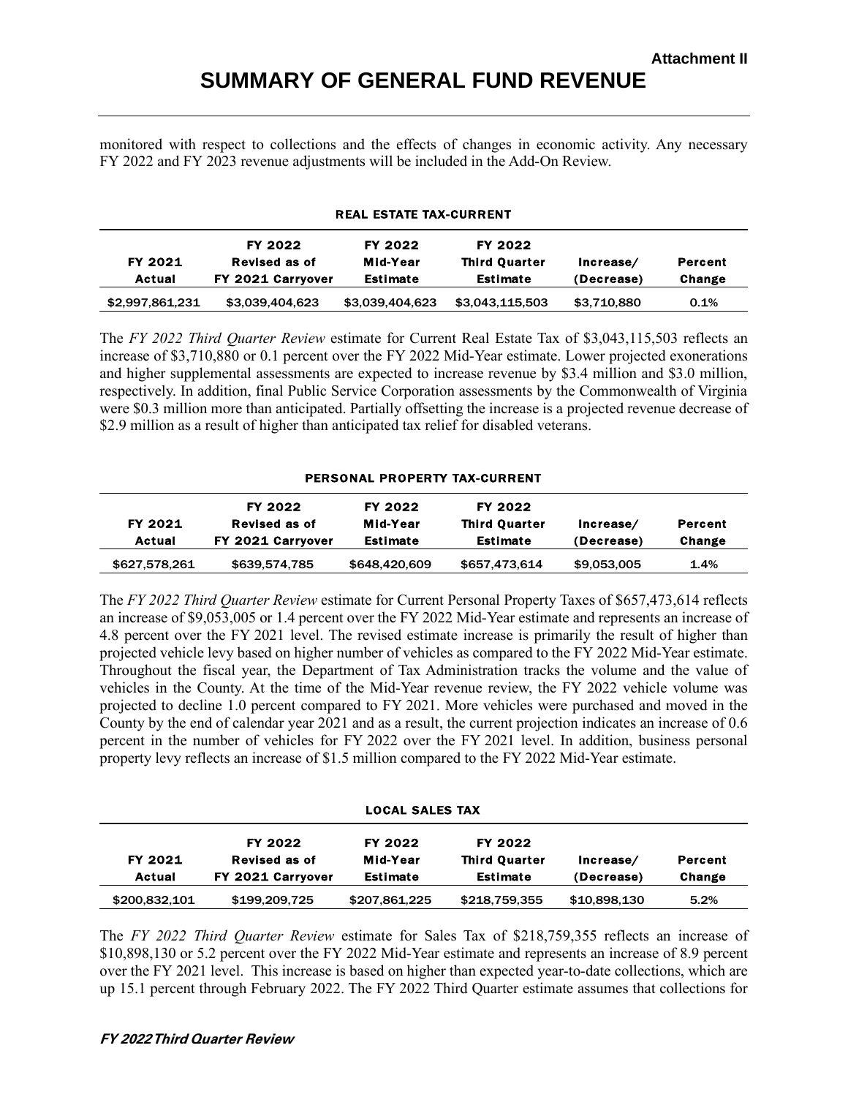## **SUMMARY OF GENERAL FUND REVENUE**

monitored with respect to collections and the effects of changes in economic activity. Any necessary FY 2022 and FY 2023 revenue adjustments will be included in the Add-On Review.

#### REAL ESTATE TAX-CURRENT

| FY 2021<br>Actual | FY 2022<br>Revised as of<br>FY 2021 Carryover | FY 2022<br>Mid-Year<br><b>Estimate</b> | FY 2022<br><b>Third Quarter</b><br>Estimate | Increase/<br>(Decrease) | Percent<br>Change |
|-------------------|-----------------------------------------------|----------------------------------------|---------------------------------------------|-------------------------|-------------------|
| \$2,997,861,231   | \$3,039,404,623                               | \$3,039,404,623                        | \$3,043,115,503                             | \$3,710,880             | 0.1%              |

The *FY 2022 Third Quarter Review* estimate for Current Real Estate Tax of \$3,043,115,503 reflects an increase of \$3,710,880 or 0.1 percent over the FY 2022 Mid-Year estimate. Lower projected exonerations and higher supplemental assessments are expected to increase revenue by \$3.4 million and \$3.0 million, respectively. In addition, final Public Service Corporation assessments by the Commonwealth of Virginia were \$0.3 million more than anticipated. Partially offsetting the increase is a projected revenue decrease of \$2.9 million as a result of higher than anticipated tax relief for disabled veterans.

#### PERSONAL PROPERTY TAX-CURRENT

| FY 2021<br>Actual | FY 2022<br>Revised as of<br>FY 2021 Carryover | FY 2022<br>Mid-Year<br>Estimate | FY 2022<br><b>Third Quarter</b><br>Estimate | Increase/<br>(Decrease) | Percent<br>Change |
|-------------------|-----------------------------------------------|---------------------------------|---------------------------------------------|-------------------------|-------------------|
| \$627,578,261     | \$639,574,785                                 | \$648,420,609                   | \$657,473,614                               | \$9,053,005             | 1.4%              |

The *FY 2022 Third Quarter Review* estimate for Current Personal Property Taxes of \$657,473,614 reflects an increase of \$9,053,005 or 1.4 percent over the FY 2022 Mid-Year estimate and represents an increase of 4.8 percent over the FY 2021 level. The revised estimate increase is primarily the result of higher than projected vehicle levy based on higher number of vehicles as compared to the FY 2022 Mid-Year estimate. Throughout the fiscal year, the Department of Tax Administration tracks the volume and the value of vehicles in the County. At the time of the Mid-Year revenue review, the FY 2022 vehicle volume was projected to decline 1.0 percent compared to FY 2021. More vehicles were purchased and moved in the County by the end of calendar year 2021 and as a result, the current projection indicates an increase of 0.6 percent in the number of vehicles for FY 2022 over the FY 2021 level. In addition, business personal property levy reflects an increase of \$1.5 million compared to the FY 2022 Mid-Year estimate.

LOCAL SALES TAX

| FY 2021<br>Actual | FY 2022<br>Revised as of<br>FY 2021 Carryover | FY 2022<br>Mid-Year<br>Estimate | FY 2022<br><b>Third Quarter</b><br>Estimate | Increase/<br>(Decrease) | Percent<br>Change |
|-------------------|-----------------------------------------------|---------------------------------|---------------------------------------------|-------------------------|-------------------|
| \$200,832,101     | \$199,209,725                                 | \$207,861,225                   | \$218,759,355                               | \$10,898,130            | 5.2%              |

The *FY 2022 Third Quarter Review* estimate for Sales Tax of \$218,759,355 reflects an increase of \$10,898,130 or 5.2 percent over the FY 2022 Mid-Year estimate and represents an increase of 8.9 percent over the FY 2021 level. This increase is based on higher than expected year-to-date collections, which are up 15.1 percent through February 2022. The FY 2022 Third Quarter estimate assumes that collections for